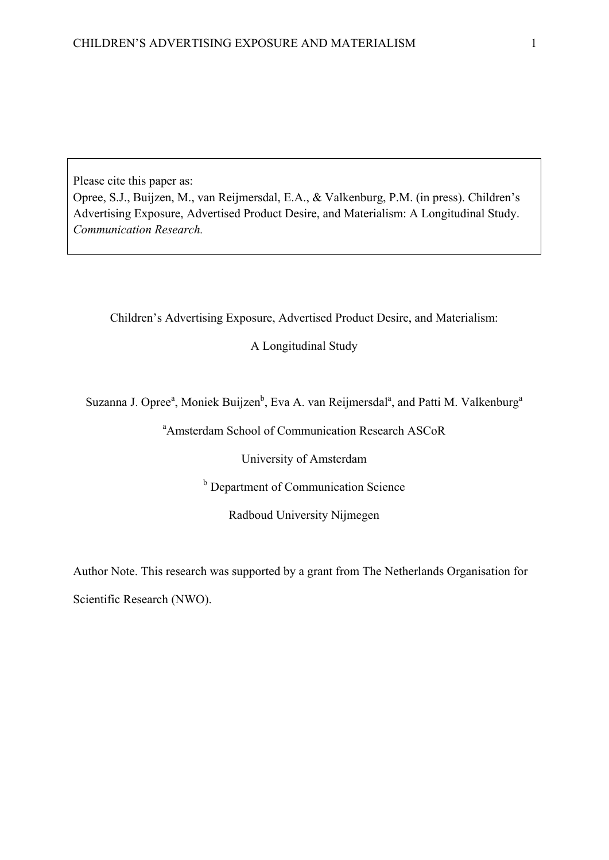Please cite this paper as:

Opree, S.J., Buijzen, M., van Reijmersdal, E.A., & Valkenburg, P.M. (in press). Children's Advertising Exposure, Advertised Product Desire, and Materialism: A Longitudinal Study. *Communication Research.*

Children's Advertising Exposure, Advertised Product Desire, and Materialism:

A Longitudinal Study

Suzanna J. Opree<sup>a</sup>, Moniek Buijzen<sup>b</sup>, Eva A. van Reijmersdal<sup>a</sup>, and Patti M. Valkenburg<sup>a</sup>

a Amsterdam School of Communication Research ASCoR

University of Amsterdam

**b** Department of Communication Science

Radboud University Nijmegen

Author Note. This research was supported by a grant from The Netherlands Organisation for

Scientific Research (NWO).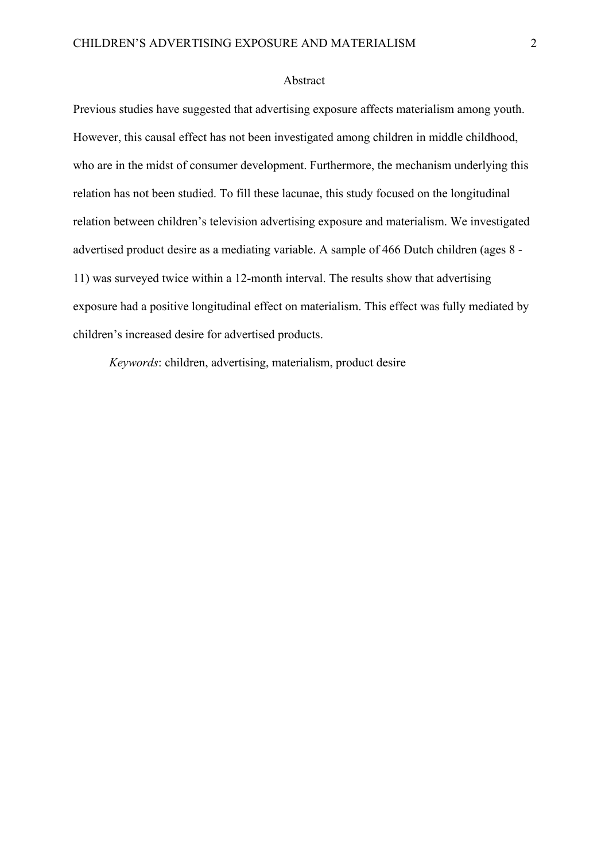### Abstract

Previous studies have suggested that advertising exposure affects materialism among youth. However, this causal effect has not been investigated among children in middle childhood, who are in the midst of consumer development. Furthermore, the mechanism underlying this relation has not been studied. To fill these lacunae, this study focused on the longitudinal relation between children's television advertising exposure and materialism. We investigated advertised product desire as a mediating variable. A sample of 466 Dutch children (ages 8 - 11) was surveyed twice within a 12-month interval. The results show that advertising exposure had a positive longitudinal effect on materialism. This effect was fully mediated by children's increased desire for advertised products.

*Keywords*: children, advertising, materialism, product desire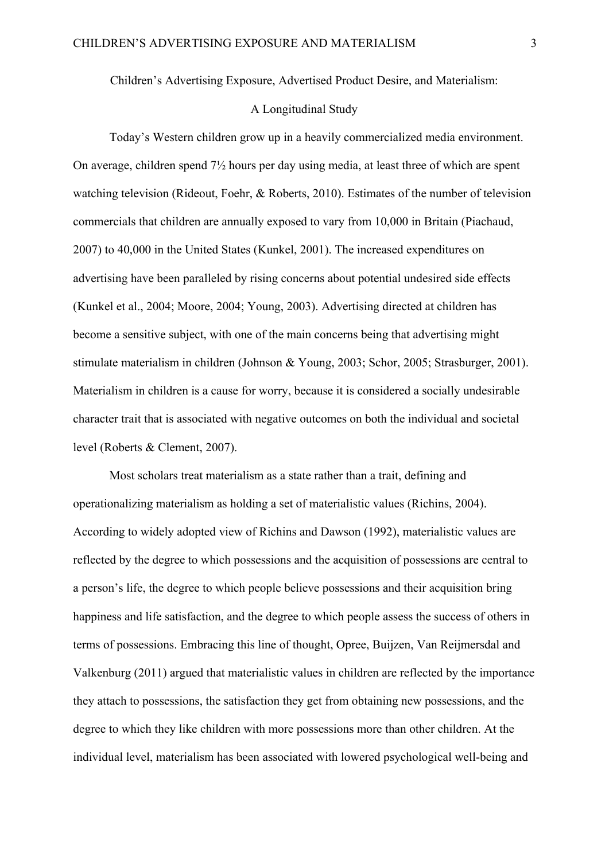Children's Advertising Exposure, Advertised Product Desire, and Materialism:

# A Longitudinal Study

Today's Western children grow up in a heavily commercialized media environment. On average, children spend 7½ hours per day using media, at least three of which are spent watching television (Rideout, Foehr, & Roberts, 2010). Estimates of the number of television commercials that children are annually exposed to vary from 10,000 in Britain (Piachaud, 2007) to 40,000 in the United States (Kunkel, 2001). The increased expenditures on advertising have been paralleled by rising concerns about potential undesired side effects (Kunkel et al., 2004; Moore, 2004; Young, 2003). Advertising directed at children has become a sensitive subject, with one of the main concerns being that advertising might stimulate materialism in children (Johnson & Young, 2003; Schor, 2005; Strasburger, 2001). Materialism in children is a cause for worry, because it is considered a socially undesirable character trait that is associated with negative outcomes on both the individual and societal level (Roberts & Clement, 2007).

Most scholars treat materialism as a state rather than a trait, defining and operationalizing materialism as holding a set of materialistic values (Richins, 2004). According to widely adopted view of Richins and Dawson (1992), materialistic values are reflected by the degree to which possessions and the acquisition of possessions are central to a person's life, the degree to which people believe possessions and their acquisition bring happiness and life satisfaction, and the degree to which people assess the success of others in terms of possessions. Embracing this line of thought, Opree, Buijzen, Van Reijmersdal and Valkenburg (2011) argued that materialistic values in children are reflected by the importance they attach to possessions, the satisfaction they get from obtaining new possessions, and the degree to which they like children with more possessions more than other children. At the individual level, materialism has been associated with lowered psychological well-being and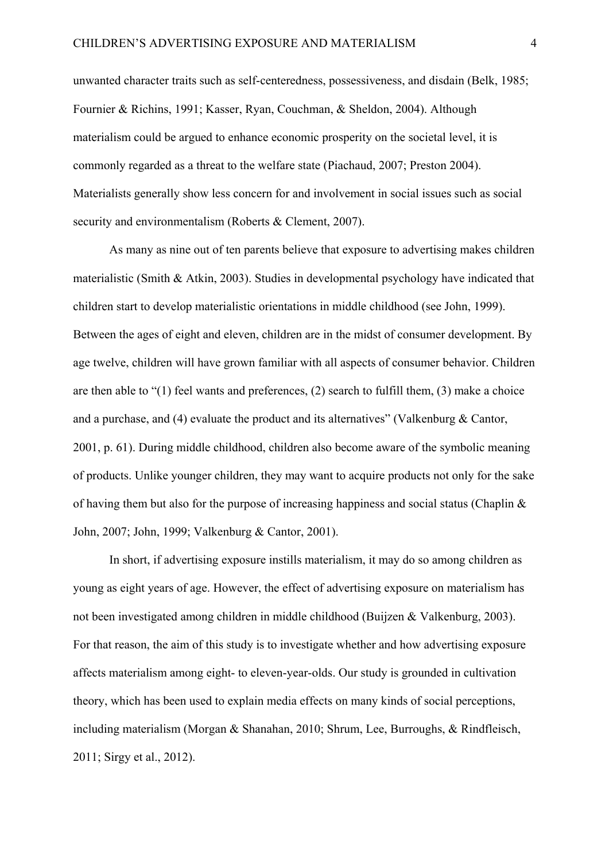unwanted character traits such as self-centeredness, possessiveness, and disdain (Belk, 1985; Fournier & Richins, 1991; Kasser, Ryan, Couchman, & Sheldon, 2004). Although materialism could be argued to enhance economic prosperity on the societal level, it is commonly regarded as a threat to the welfare state (Piachaud, 2007; Preston 2004). Materialists generally show less concern for and involvement in social issues such as social security and environmentalism (Roberts & Clement, 2007).

As many as nine out of ten parents believe that exposure to advertising makes children materialistic (Smith & Atkin, 2003). Studies in developmental psychology have indicated that children start to develop materialistic orientations in middle childhood (see John, 1999). Between the ages of eight and eleven, children are in the midst of consumer development. By age twelve, children will have grown familiar with all aspects of consumer behavior. Children are then able to "(1) feel wants and preferences, (2) search to fulfill them, (3) make a choice and a purchase, and (4) evaluate the product and its alternatives" (Valkenburg & Cantor, 2001, p. 61). During middle childhood, children also become aware of the symbolic meaning of products. Unlike younger children, they may want to acquire products not only for the sake of having them but also for the purpose of increasing happiness and social status (Chaplin  $\&$ John, 2007; John, 1999; Valkenburg & Cantor, 2001).

In short, if advertising exposure instills materialism, it may do so among children as young as eight years of age. However, the effect of advertising exposure on materialism has not been investigated among children in middle childhood (Buijzen & Valkenburg, 2003). For that reason, the aim of this study is to investigate whether and how advertising exposure affects materialism among eight- to eleven-year-olds. Our study is grounded in cultivation theory, which has been used to explain media effects on many kinds of social perceptions, including materialism (Morgan & Shanahan, 2010; Shrum, Lee, Burroughs, & Rindfleisch, 2011; Sirgy et al., 2012).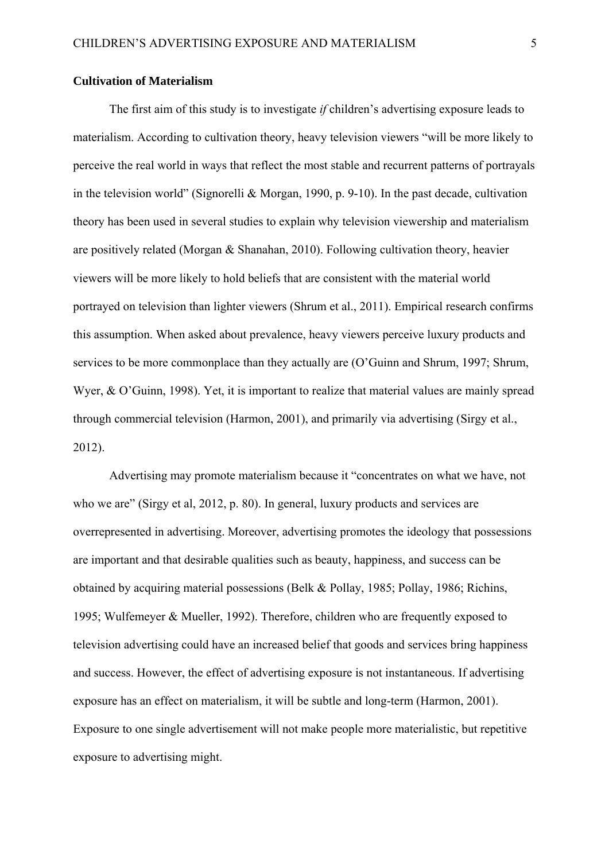#### **Cultivation of Materialism**

The first aim of this study is to investigate *if* children's advertising exposure leads to materialism. According to cultivation theory, heavy television viewers "will be more likely to perceive the real world in ways that reflect the most stable and recurrent patterns of portrayals in the television world" (Signorelli & Morgan, 1990, p. 9-10). In the past decade, cultivation theory has been used in several studies to explain why television viewership and materialism are positively related (Morgan & Shanahan, 2010). Following cultivation theory, heavier viewers will be more likely to hold beliefs that are consistent with the material world portrayed on television than lighter viewers (Shrum et al., 2011). Empirical research confirms this assumption. When asked about prevalence, heavy viewers perceive luxury products and services to be more commonplace than they actually are (O'Guinn and Shrum, 1997; Shrum, Wyer, & O'Guinn, 1998). Yet, it is important to realize that material values are mainly spread through commercial television (Harmon, 2001), and primarily via advertising (Sirgy et al., 2012).

 Advertising may promote materialism because it "concentrates on what we have, not who we are" (Sirgy et al, 2012, p. 80). In general, luxury products and services are overrepresented in advertising. Moreover, advertising promotes the ideology that possessions are important and that desirable qualities such as beauty, happiness, and success can be obtained by acquiring material possessions (Belk & Pollay, 1985; Pollay, 1986; Richins, 1995; Wulfemeyer & Mueller, 1992). Therefore, children who are frequently exposed to television advertising could have an increased belief that goods and services bring happiness and success. However, the effect of advertising exposure is not instantaneous. If advertising exposure has an effect on materialism, it will be subtle and long-term (Harmon, 2001). Exposure to one single advertisement will not make people more materialistic, but repetitive exposure to advertising might.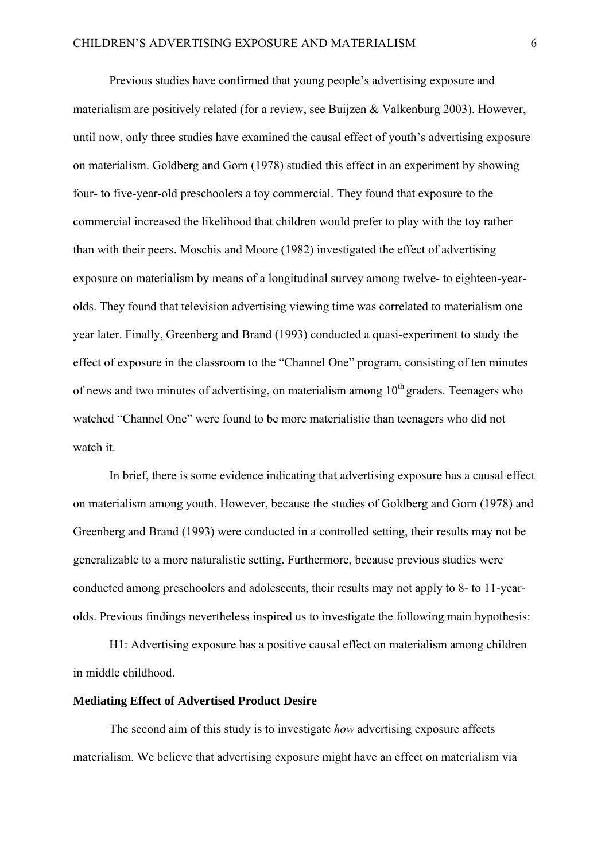Previous studies have confirmed that young people's advertising exposure and materialism are positively related (for a review, see Buijzen & Valkenburg 2003). However, until now, only three studies have examined the causal effect of youth's advertising exposure on materialism. Goldberg and Gorn (1978) studied this effect in an experiment by showing four- to five-year-old preschoolers a toy commercial. They found that exposure to the commercial increased the likelihood that children would prefer to play with the toy rather than with their peers. Moschis and Moore (1982) investigated the effect of advertising exposure on materialism by means of a longitudinal survey among twelve- to eighteen-yearolds. They found that television advertising viewing time was correlated to materialism one year later. Finally, Greenberg and Brand (1993) conducted a quasi-experiment to study the effect of exposure in the classroom to the "Channel One" program, consisting of ten minutes of news and two minutes of advertising, on materialism among  $10<sup>th</sup>$  graders. Teenagers who watched "Channel One" were found to be more materialistic than teenagers who did not watch it.

In brief, there is some evidence indicating that advertising exposure has a causal effect on materialism among youth. However, because the studies of Goldberg and Gorn (1978) and Greenberg and Brand (1993) were conducted in a controlled setting, their results may not be generalizable to a more naturalistic setting. Furthermore, because previous studies were conducted among preschoolers and adolescents, their results may not apply to 8- to 11-yearolds. Previous findings nevertheless inspired us to investigate the following main hypothesis:

H1: Advertising exposure has a positive causal effect on materialism among children in middle childhood.

# **Mediating Effect of Advertised Product Desire**

The second aim of this study is to investigate *how* advertising exposure affects materialism. We believe that advertising exposure might have an effect on materialism via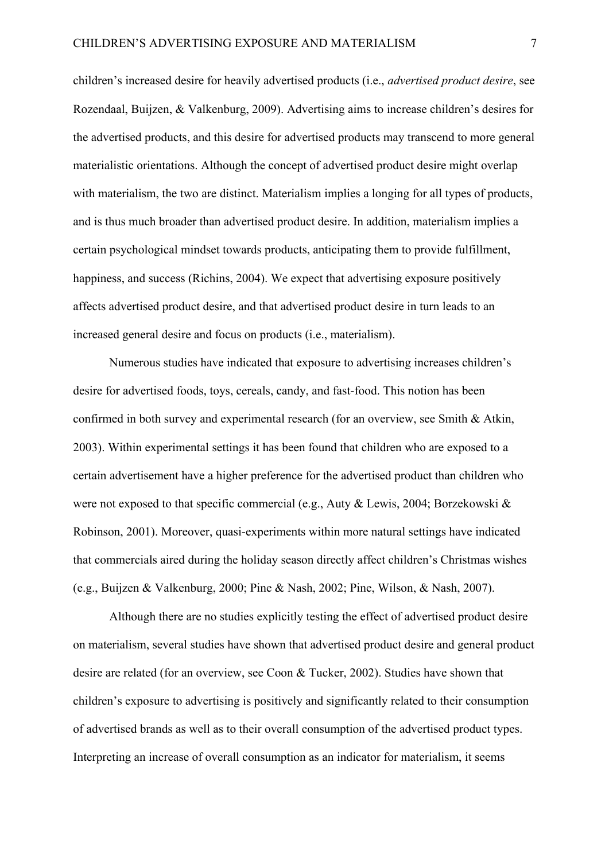children's increased desire for heavily advertised products (i.e., *advertised product desire*, see Rozendaal, Buijzen, & Valkenburg, 2009). Advertising aims to increase children's desires for the advertised products, and this desire for advertised products may transcend to more general materialistic orientations. Although the concept of advertised product desire might overlap with materialism, the two are distinct. Materialism implies a longing for all types of products, and is thus much broader than advertised product desire. In addition, materialism implies a certain psychological mindset towards products, anticipating them to provide fulfillment, happiness, and success (Richins, 2004). We expect that advertising exposure positively affects advertised product desire, and that advertised product desire in turn leads to an increased general desire and focus on products (i.e., materialism).

Numerous studies have indicated that exposure to advertising increases children's desire for advertised foods, toys, cereals, candy, and fast-food. This notion has been confirmed in both survey and experimental research (for an overview, see Smith & Atkin, 2003). Within experimental settings it has been found that children who are exposed to a certain advertisement have a higher preference for the advertised product than children who were not exposed to that specific commercial (e.g., Auty & Lewis, 2004; Borzekowski & Robinson, 2001). Moreover, quasi-experiments within more natural settings have indicated that commercials aired during the holiday season directly affect children's Christmas wishes (e.g., Buijzen & Valkenburg, 2000; Pine & Nash, 2002; Pine, Wilson, & Nash, 2007).

Although there are no studies explicitly testing the effect of advertised product desire on materialism, several studies have shown that advertised product desire and general product desire are related (for an overview, see Coon & Tucker, 2002). Studies have shown that children's exposure to advertising is positively and significantly related to their consumption of advertised brands as well as to their overall consumption of the advertised product types. Interpreting an increase of overall consumption as an indicator for materialism, it seems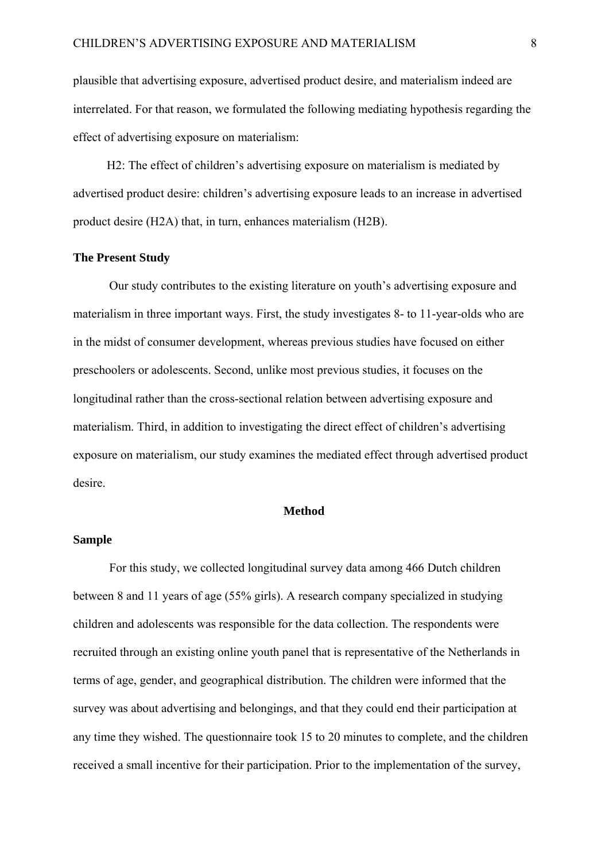plausible that advertising exposure, advertised product desire, and materialism indeed are interrelated. For that reason, we formulated the following mediating hypothesis regarding the effect of advertising exposure on materialism:

H2: The effect of children's advertising exposure on materialism is mediated by advertised product desire: children's advertising exposure leads to an increase in advertised product desire (H2A) that, in turn, enhances materialism (H2B).

## **The Present Study**

Our study contributes to the existing literature on youth's advertising exposure and materialism in three important ways. First, the study investigates 8- to 11-year-olds who are in the midst of consumer development, whereas previous studies have focused on either preschoolers or adolescents. Second, unlike most previous studies, it focuses on the longitudinal rather than the cross-sectional relation between advertising exposure and materialism. Third, in addition to investigating the direct effect of children's advertising exposure on materialism, our study examines the mediated effect through advertised product desire.

## **Method**

## **Sample**

For this study, we collected longitudinal survey data among 466 Dutch children between 8 and 11 years of age (55% girls). A research company specialized in studying children and adolescents was responsible for the data collection. The respondents were recruited through an existing online youth panel that is representative of the Netherlands in terms of age, gender, and geographical distribution. The children were informed that the survey was about advertising and belongings, and that they could end their participation at any time they wished. The questionnaire took 15 to 20 minutes to complete, and the children received a small incentive for their participation. Prior to the implementation of the survey,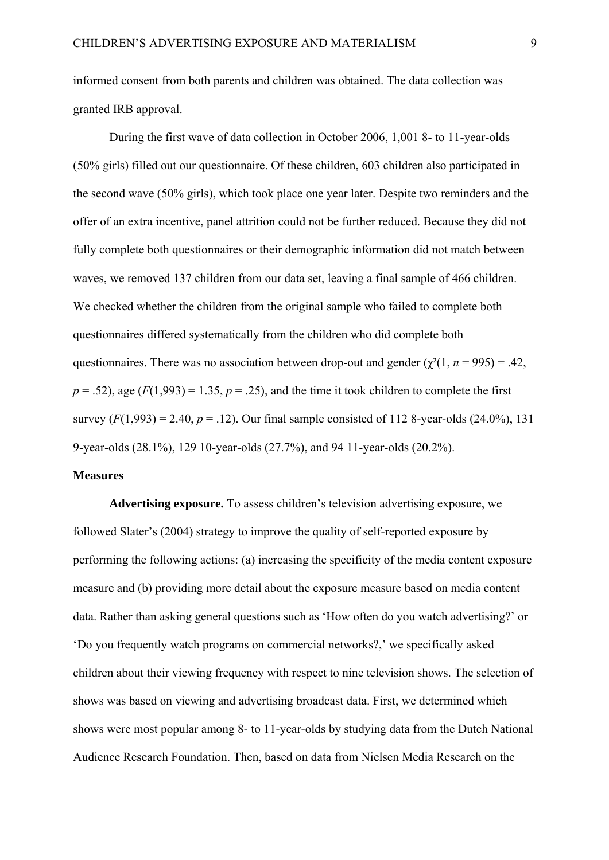informed consent from both parents and children was obtained. The data collection was granted IRB approval.

During the first wave of data collection in October 2006, 1,001 8- to 11-year-olds (50% girls) filled out our questionnaire. Of these children, 603 children also participated in the second wave (50% girls), which took place one year later. Despite two reminders and the offer of an extra incentive, panel attrition could not be further reduced. Because they did not fully complete both questionnaires or their demographic information did not match between waves, we removed 137 children from our data set, leaving a final sample of 466 children. We checked whether the children from the original sample who failed to complete both questionnaires differed systematically from the children who did complete both questionnaires. There was no association between drop-out and gender  $(\chi^2(1, n = 995) = .42)$ ,  $p = .52$ ), age  $(F(1,993) = 1.35, p = .25)$ , and the time it took children to complete the first survey  $(F(1,993) = 2.40, p = .12)$ . Our final sample consisted of 112 8-year-olds  $(24.0\%)$ , 131 9-year-olds (28.1%), 129 10-year-olds (27.7%), and 94 11-year-olds (20.2%).

## **Measures**

**Advertising exposure.** To assess children's television advertising exposure, we followed Slater's (2004) strategy to improve the quality of self-reported exposure by performing the following actions: (a) increasing the specificity of the media content exposure measure and (b) providing more detail about the exposure measure based on media content data. Rather than asking general questions such as 'How often do you watch advertising?' or 'Do you frequently watch programs on commercial networks?,' we specifically asked children about their viewing frequency with respect to nine television shows. The selection of shows was based on viewing and advertising broadcast data. First, we determined which shows were most popular among 8- to 11-year-olds by studying data from the Dutch National Audience Research Foundation. Then, based on data from Nielsen Media Research on the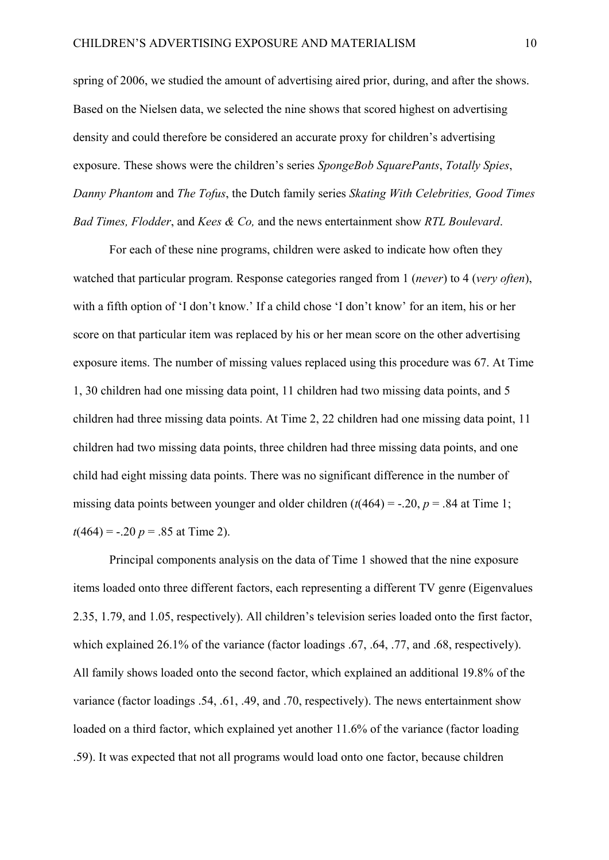spring of 2006, we studied the amount of advertising aired prior, during, and after the shows. Based on the Nielsen data, we selected the nine shows that scored highest on advertising density and could therefore be considered an accurate proxy for children's advertising exposure. These shows were the children's series *SpongeBob SquarePants*, *Totally Spies*, *Danny Phantom* and *The Tofus*, the Dutch family series *Skating With Celebrities, Good Times Bad Times, Flodder*, and *Kees & Co,* and the news entertainment show *RTL Boulevard*.

For each of these nine programs, children were asked to indicate how often they watched that particular program. Response categories ranged from 1 (*never*) to 4 (*very often*), with a fifth option of 'I don't know.' If a child chose 'I don't know' for an item, his or her score on that particular item was replaced by his or her mean score on the other advertising exposure items. The number of missing values replaced using this procedure was 67. At Time 1, 30 children had one missing data point, 11 children had two missing data points, and 5 children had three missing data points. At Time 2, 22 children had one missing data point, 11 children had two missing data points, three children had three missing data points, and one child had eight missing data points. There was no significant difference in the number of missing data points between younger and older children  $(t(464) = -.20, p = .84$  at Time 1;  $t(464) = -.20 p = .85$  at Time 2).

Principal components analysis on the data of Time 1 showed that the nine exposure items loaded onto three different factors, each representing a different TV genre (Eigenvalues 2.35, 1.79, and 1.05, respectively). All children's television series loaded onto the first factor, which explained 26.1% of the variance (factor loadings .67, .64, .77, and .68, respectively). All family shows loaded onto the second factor, which explained an additional 19.8% of the variance (factor loadings .54, .61, .49, and .70, respectively). The news entertainment show loaded on a third factor, which explained yet another 11.6% of the variance (factor loading .59). It was expected that not all programs would load onto one factor, because children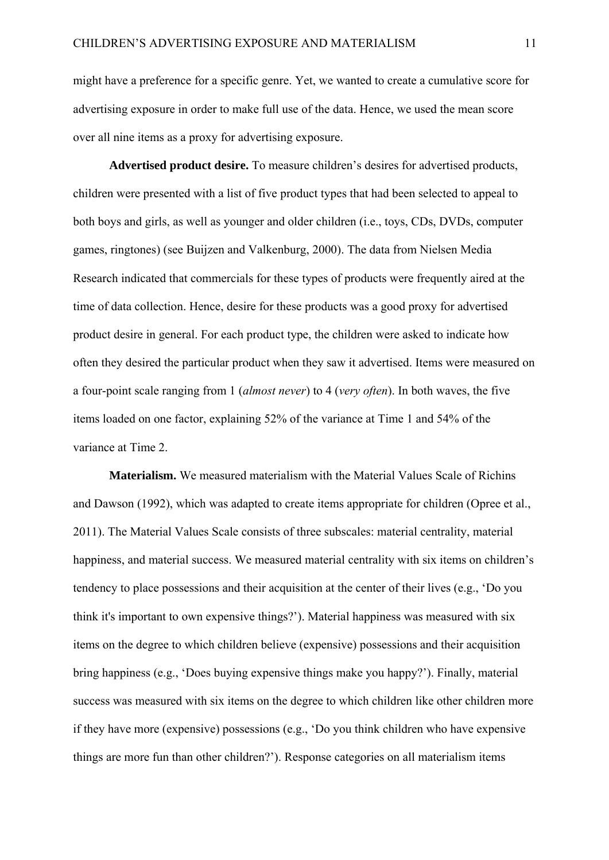might have a preference for a specific genre. Yet, we wanted to create a cumulative score for advertising exposure in order to make full use of the data. Hence, we used the mean score over all nine items as a proxy for advertising exposure.

**Advertised product desire.** To measure children's desires for advertised products, children were presented with a list of five product types that had been selected to appeal to both boys and girls, as well as younger and older children (i.e., toys, CDs, DVDs, computer games, ringtones) (see Buijzen and Valkenburg, 2000). The data from Nielsen Media Research indicated that commercials for these types of products were frequently aired at the time of data collection. Hence, desire for these products was a good proxy for advertised product desire in general. For each product type, the children were asked to indicate how often they desired the particular product when they saw it advertised. Items were measured on a four-point scale ranging from 1 (*almost never*) to 4 (*very often*). In both waves, the five items loaded on one factor, explaining 52% of the variance at Time 1 and 54% of the variance at Time 2.

**Materialism.** We measured materialism with the Material Values Scale of Richins and Dawson (1992), which was adapted to create items appropriate for children (Opree et al., 2011). The Material Values Scale consists of three subscales: material centrality, material happiness, and material success. We measured material centrality with six items on children's tendency to place possessions and their acquisition at the center of their lives (e.g., 'Do you think it's important to own expensive things?'). Material happiness was measured with six items on the degree to which children believe (expensive) possessions and their acquisition bring happiness (e.g., 'Does buying expensive things make you happy?'). Finally, material success was measured with six items on the degree to which children like other children more if they have more (expensive) possessions (e.g., 'Do you think children who have expensive things are more fun than other children?'). Response categories on all materialism items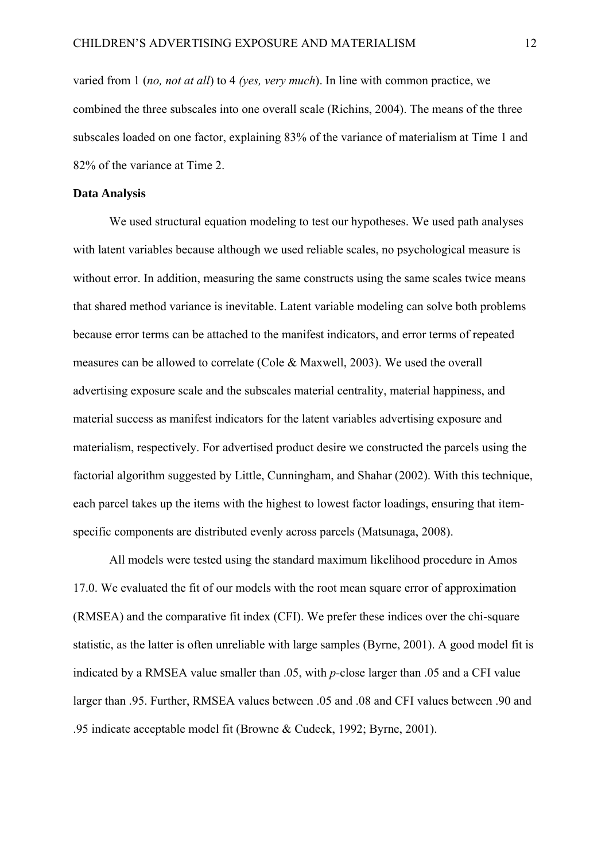varied from 1 (*no, not at all*) to 4 *(yes, very much*). In line with common practice, we combined the three subscales into one overall scale (Richins, 2004). The means of the three subscales loaded on one factor, explaining 83% of the variance of materialism at Time 1 and 82% of the variance at Time 2.

#### **Data Analysis**

We used structural equation modeling to test our hypotheses. We used path analyses with latent variables because although we used reliable scales, no psychological measure is without error. In addition, measuring the same constructs using the same scales twice means that shared method variance is inevitable. Latent variable modeling can solve both problems because error terms can be attached to the manifest indicators, and error terms of repeated measures can be allowed to correlate (Cole & Maxwell, 2003). We used the overall advertising exposure scale and the subscales material centrality, material happiness, and material success as manifest indicators for the latent variables advertising exposure and materialism, respectively. For advertised product desire we constructed the parcels using the factorial algorithm suggested by Little, Cunningham, and Shahar (2002). With this technique, each parcel takes up the items with the highest to lowest factor loadings, ensuring that itemspecific components are distributed evenly across parcels (Matsunaga, 2008).

All models were tested using the standard maximum likelihood procedure in Amos 17.0. We evaluated the fit of our models with the root mean square error of approximation (RMSEA) and the comparative fit index (CFI). We prefer these indices over the chi-square statistic, as the latter is often unreliable with large samples (Byrne, 2001). A good model fit is indicated by a RMSEA value smaller than .05, with *p-*close larger than .05 and a CFI value larger than .95. Further, RMSEA values between .05 and .08 and CFI values between .90 and .95 indicate acceptable model fit (Browne & Cudeck, 1992; Byrne, 2001).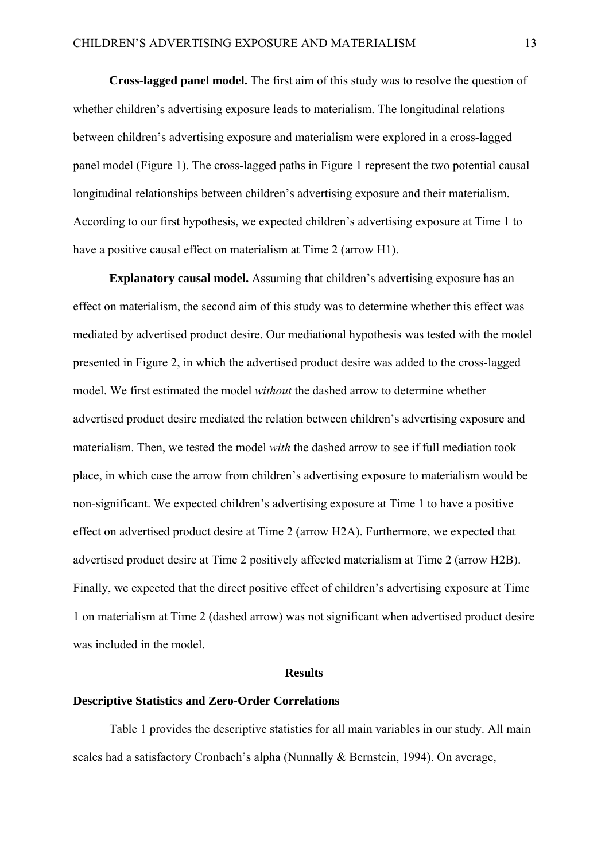**Cross-lagged panel model.** The first aim of this study was to resolve the question of whether children's advertising exposure leads to materialism. The longitudinal relations between children's advertising exposure and materialism were explored in a cross-lagged panel model (Figure 1). The cross-lagged paths in Figure 1 represent the two potential causal longitudinal relationships between children's advertising exposure and their materialism. According to our first hypothesis, we expected children's advertising exposure at Time 1 to have a positive causal effect on materialism at Time 2 (arrow H1).

**Explanatory causal model.** Assuming that children's advertising exposure has an effect on materialism, the second aim of this study was to determine whether this effect was mediated by advertised product desire. Our mediational hypothesis was tested with the model presented in Figure 2, in which the advertised product desire was added to the cross-lagged model. We first estimated the model *without* the dashed arrow to determine whether advertised product desire mediated the relation between children's advertising exposure and materialism. Then, we tested the model *with* the dashed arrow to see if full mediation took place, in which case the arrow from children's advertising exposure to materialism would be non-significant. We expected children's advertising exposure at Time 1 to have a positive effect on advertised product desire at Time 2 (arrow H2A). Furthermore, we expected that advertised product desire at Time 2 positively affected materialism at Time 2 (arrow H2B). Finally, we expected that the direct positive effect of children's advertising exposure at Time 1 on materialism at Time 2 (dashed arrow) was not significant when advertised product desire was included in the model.

## **Results**

# **Descriptive Statistics and Zero-Order Correlations**

Table 1 provides the descriptive statistics for all main variables in our study. All main scales had a satisfactory Cronbach's alpha (Nunnally & Bernstein, 1994). On average,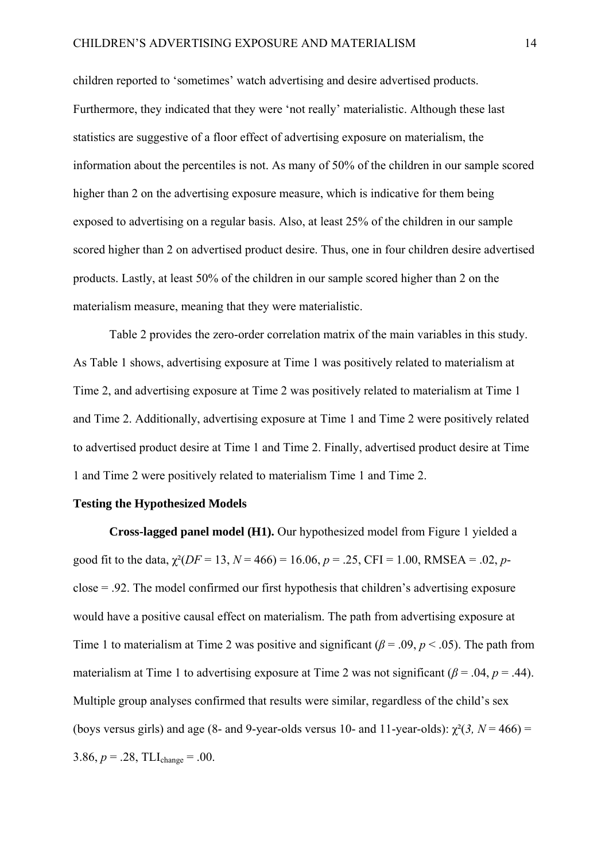children reported to 'sometimes' watch advertising and desire advertised products. Furthermore, they indicated that they were 'not really' materialistic. Although these last statistics are suggestive of a floor effect of advertising exposure on materialism, the information about the percentiles is not. As many of 50% of the children in our sample scored higher than 2 on the advertising exposure measure, which is indicative for them being exposed to advertising on a regular basis. Also, at least 25% of the children in our sample scored higher than 2 on advertised product desire. Thus, one in four children desire advertised products. Lastly, at least 50% of the children in our sample scored higher than 2 on the materialism measure, meaning that they were materialistic.

Table 2 provides the zero-order correlation matrix of the main variables in this study. As Table 1 shows, advertising exposure at Time 1 was positively related to materialism at Time 2, and advertising exposure at Time 2 was positively related to materialism at Time 1 and Time 2. Additionally, advertising exposure at Time 1 and Time 2 were positively related to advertised product desire at Time 1 and Time 2. Finally, advertised product desire at Time 1 and Time 2 were positively related to materialism Time 1 and Time 2.

## **Testing the Hypothesized Models**

**Cross-lagged panel model (H1).** Our hypothesized model from Figure 1 yielded a good fit to the data,  $\chi^2(DF = 13, N = 466) = 16.06, p = .25, CFI = 1.00, RMSEA = .02, p$ close = .92. The model confirmed our first hypothesis that children's advertising exposure would have a positive causal effect on materialism. The path from advertising exposure at Time 1 to materialism at Time 2 was positive and significant  $(\beta = .09, p < .05)$ . The path from materialism at Time 1 to advertising exposure at Time 2 was not significant ( $\beta$  = .04,  $p$  = .44). Multiple group analyses confirmed that results were similar, regardless of the child's sex (boys versus girls) and age (8- and 9-year-olds versus 10- and 11-year-olds):  $\chi^2(3, N = 466)$  = 3.86,  $p = .28$ , TLI<sub>change</sub> = .00.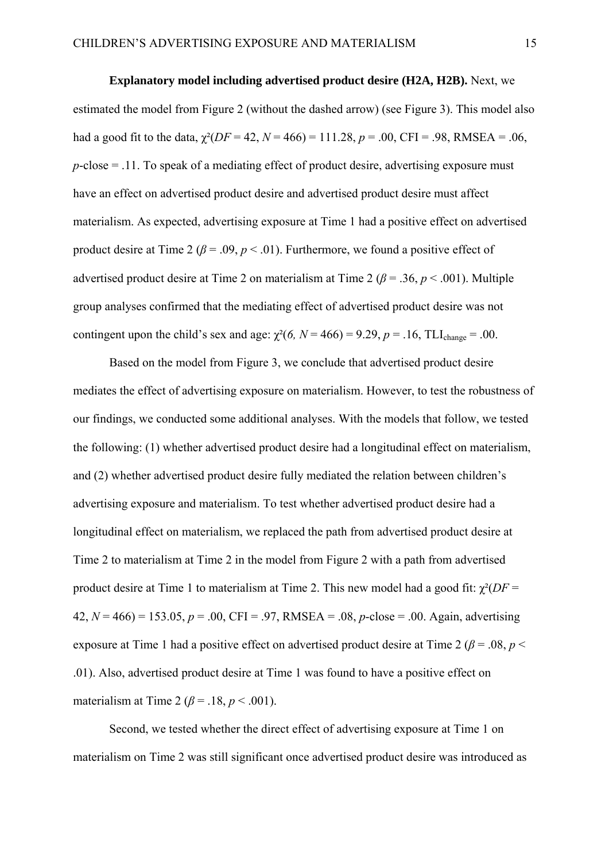**Explanatory model including advertised product desire (H2A, H2B).** Next, we estimated the model from Figure 2 (without the dashed arrow) (see Figure 3). This model also had a good fit to the data,  $\gamma^2$ (*DF* = 42, *N* = 466) = 111.28, *p* = .00, CFI = .98, RMSEA = .06, *p*-close = .11. To speak of a mediating effect of product desire, advertising exposure must have an effect on advertised product desire and advertised product desire must affect materialism. As expected, advertising exposure at Time 1 had a positive effect on advertised product desire at Time 2 ( $\beta$  = .09,  $p$  < .01). Furthermore, we found a positive effect of advertised product desire at Time 2 on materialism at Time 2 ( $\beta$  = .36,  $p$  < .001). Multiple group analyses confirmed that the mediating effect of advertised product desire was not contingent upon the child's sex and age:  $\chi^2(6, N = 466) = 9.29$ ,  $p = .16$ , TLI<sub>change</sub> = .00.

 Based on the model from Figure 3, we conclude that advertised product desire mediates the effect of advertising exposure on materialism. However, to test the robustness of our findings, we conducted some additional analyses. With the models that follow, we tested the following: (1) whether advertised product desire had a longitudinal effect on materialism, and (2) whether advertised product desire fully mediated the relation between children's advertising exposure and materialism. To test whether advertised product desire had a longitudinal effect on materialism, we replaced the path from advertised product desire at Time 2 to materialism at Time 2 in the model from Figure 2 with a path from advertised product desire at Time 1 to materialism at Time 2. This new model had a good fit:  $\gamma^2$ (*DF* = 42, *N* = 466) = 153.05, *p* = .00, CFI = .97, RMSEA = .08, *p*-close = .00. Again, advertising exposure at Time 1 had a positive effect on advertised product desire at Time 2 ( $\beta$  = .08, *p* < .01). Also, advertised product desire at Time 1 was found to have a positive effect on materialism at Time 2 ( $\beta$  = .18,  $p$  < .001).

Second, we tested whether the direct effect of advertising exposure at Time 1 on materialism on Time 2 was still significant once advertised product desire was introduced as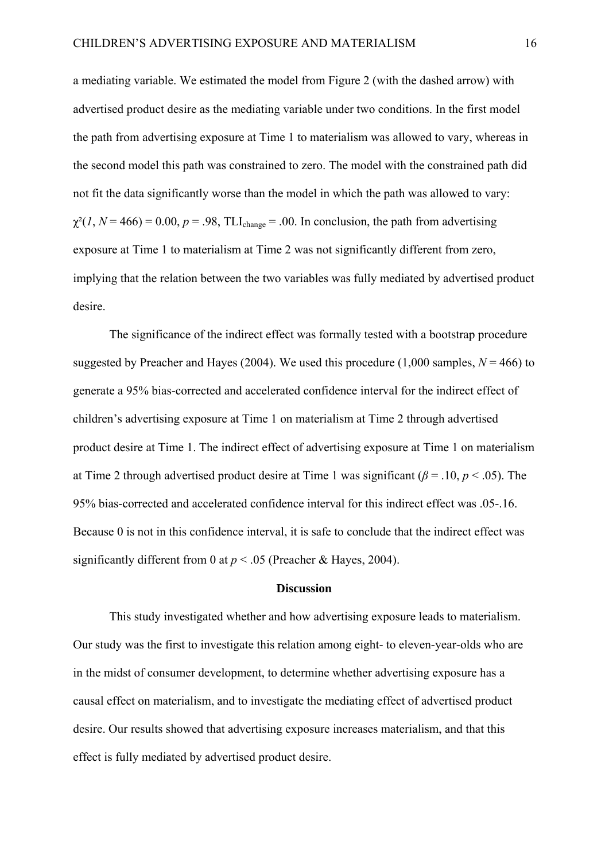a mediating variable. We estimated the model from Figure 2 (with the dashed arrow) with advertised product desire as the mediating variable under two conditions. In the first model the path from advertising exposure at Time 1 to materialism was allowed to vary, whereas in the second model this path was constrained to zero. The model with the constrained path did not fit the data significantly worse than the model in which the path was allowed to vary:  $\chi^2(1, N = 466) = 0.00$ ,  $p = .98$ , TLI<sub>change</sub> = .00. In conclusion, the path from advertising exposure at Time 1 to materialism at Time 2 was not significantly different from zero, implying that the relation between the two variables was fully mediated by advertised product desire.

The significance of the indirect effect was formally tested with a bootstrap procedure suggested by Preacher and Hayes (2004). We used this procedure (1,000 samples,  $N = 466$ ) to generate a 95% bias-corrected and accelerated confidence interval for the indirect effect of children's advertising exposure at Time 1 on materialism at Time 2 through advertised product desire at Time 1. The indirect effect of advertising exposure at Time 1 on materialism at Time 2 through advertised product desire at Time 1 was significant ( $\beta$  = .10, *p* < .05). The 95% bias-corrected and accelerated confidence interval for this indirect effect was .05-.16. Because 0 is not in this confidence interval, it is safe to conclude that the indirect effect was significantly different from 0 at  $p < .05$  (Preacher & Hayes, 2004).

#### **Discussion**

This study investigated whether and how advertising exposure leads to materialism. Our study was the first to investigate this relation among eight- to eleven-year-olds who are in the midst of consumer development, to determine whether advertising exposure has a causal effect on materialism, and to investigate the mediating effect of advertised product desire. Our results showed that advertising exposure increases materialism, and that this effect is fully mediated by advertised product desire.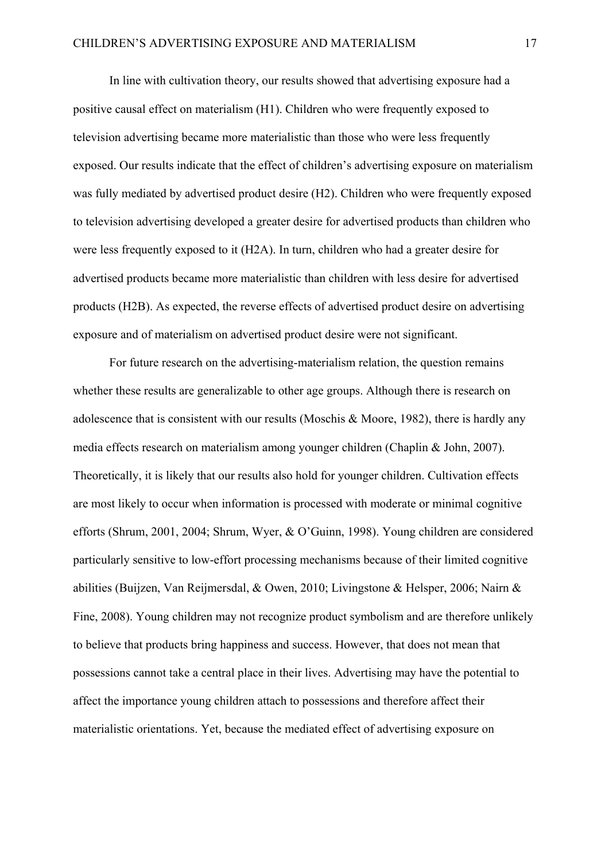In line with cultivation theory, our results showed that advertising exposure had a positive causal effect on materialism (H1). Children who were frequently exposed to television advertising became more materialistic than those who were less frequently exposed. Our results indicate that the effect of children's advertising exposure on materialism was fully mediated by advertised product desire (H2). Children who were frequently exposed to television advertising developed a greater desire for advertised products than children who were less frequently exposed to it (H2A). In turn, children who had a greater desire for advertised products became more materialistic than children with less desire for advertised products (H2B). As expected, the reverse effects of advertised product desire on advertising exposure and of materialism on advertised product desire were not significant.

For future research on the advertising-materialism relation, the question remains whether these results are generalizable to other age groups. Although there is research on adolescence that is consistent with our results (Moschis & Moore, 1982), there is hardly any media effects research on materialism among younger children (Chaplin & John, 2007). Theoretically, it is likely that our results also hold for younger children. Cultivation effects are most likely to occur when information is processed with moderate or minimal cognitive efforts (Shrum, 2001, 2004; Shrum, Wyer, & O'Guinn, 1998). Young children are considered particularly sensitive to low-effort processing mechanisms because of their limited cognitive abilities (Buijzen, Van Reijmersdal, & Owen, 2010; Livingstone & Helsper, 2006; Nairn & Fine, 2008). Young children may not recognize product symbolism and are therefore unlikely to believe that products bring happiness and success. However, that does not mean that possessions cannot take a central place in their lives. Advertising may have the potential to affect the importance young children attach to possessions and therefore affect their materialistic orientations. Yet, because the mediated effect of advertising exposure on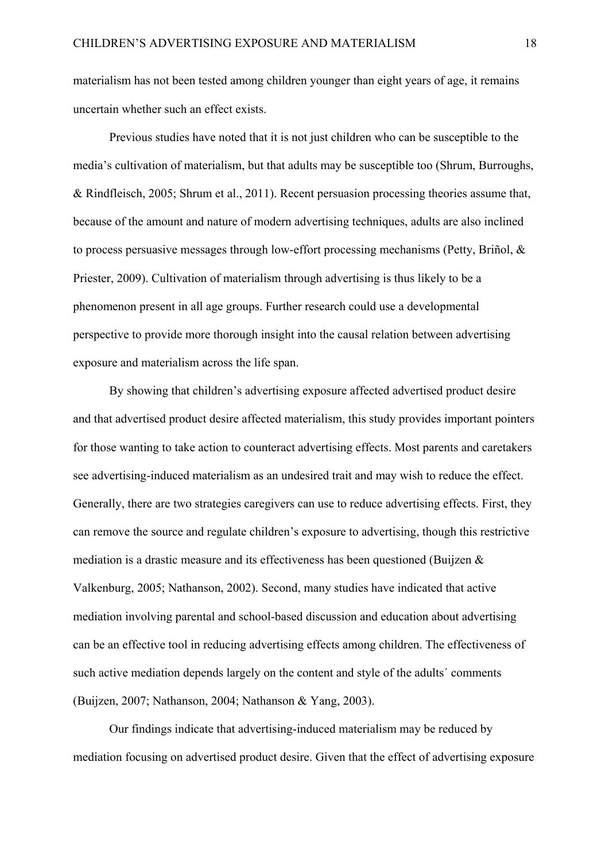materialism has not been tested among children younger than eight years of age, it remains uncertain whether such an effect exists.

Previous studies have noted that it is not just children who can be susceptible to the media's cultivation of materialism, but that adults may be susceptible too (Shrum, Burroughs, & Rindfleisch, 2005; Shrum et al., 2011). Recent persuasion processing theories assume that, because of the amount and nature of modern advertising techniques, adults are also inclined to process persuasive messages through low-effort processing mechanisms (Petty, Briñol,  $\&$ Priester, 2009). Cultivation of materialism through advertising is thus likely to be a phenomenon present in all age groups. Further research could use a developmental perspective to provide more thorough insight into the causal relation between advertising exposure and materialism across the life span.

By showing that children's advertising exposure affected advertised product desire and that advertised product desire affected materialism, this study provides important pointers for those wanting to take action to counteract advertising effects. Most parents and caretakers see advertising-induced materialism as an undesired trait and may wish to reduce the effect. Generally, there are two strategies caregivers can use to reduce advertising effects. First, they can remove the source and regulate children's exposure to advertising, though this restrictive mediation is a drastic measure and its effectiveness has been questioned (Buijzen & Valkenburg, 2005; Nathanson, 2002). Second, many studies have indicated that active mediation involving parental and school-based discussion and education about advertising can be an effective tool in reducing advertising effects among children. The effectiveness of such active mediation depends largely on the content and style of the adults' comments (Buijzen, 2007; Nathanson, 2004; Nathanson & Yang, 2003).

Our findings indicate that advertising-induced materialism may be reduced by mediation focusing on advertised product desire. Given that the effect of advertising exposure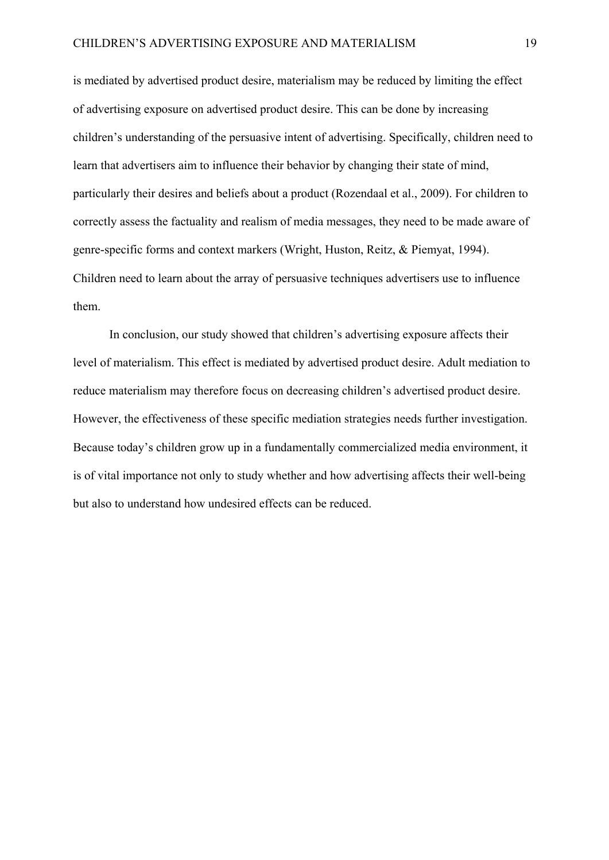is mediated by advertised product desire, materialism may be reduced by limiting the effect of advertising exposure on advertised product desire. This can be done by increasing children's understanding of the persuasive intent of advertising. Specifically, children need to learn that advertisers aim to influence their behavior by changing their state of mind, particularly their desires and beliefs about a product (Rozendaal et al., 2009). For children to correctly assess the factuality and realism of media messages, they need to be made aware of genre-specific forms and context markers (Wright, Huston, Reitz, & Piemyat, 1994). Children need to learn about the array of persuasive techniques advertisers use to influence them.

 In conclusion, our study showed that children's advertising exposure affects their level of materialism. This effect is mediated by advertised product desire. Adult mediation to reduce materialism may therefore focus on decreasing children's advertised product desire. However, the effectiveness of these specific mediation strategies needs further investigation. Because today's children grow up in a fundamentally commercialized media environment, it is of vital importance not only to study whether and how advertising affects their well-being but also to understand how undesired effects can be reduced.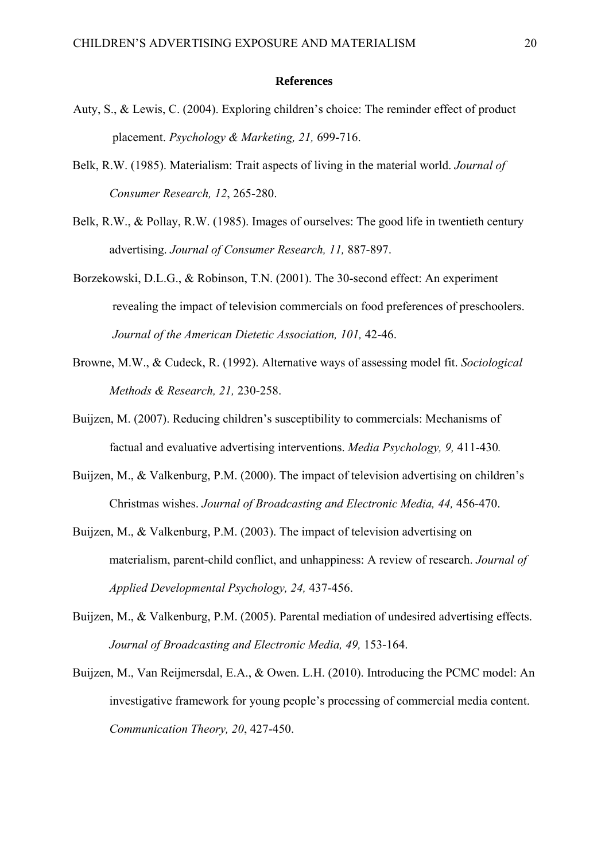#### **References**

- Auty, S., & Lewis, C. (2004). Exploring children's choice: The reminder effect of product placement. *Psychology & Marketing, 21,* 699-716.
- Belk, R.W. (1985). Materialism: Trait aspects of living in the material world. *Journal of Consumer Research, 12*, 265-280.
- Belk, R.W., & Pollay, R.W. (1985). Images of ourselves: The good life in twentieth century advertising. *Journal of Consumer Research, 11,* 887-897.
- Borzekowski, D.L.G., & Robinson, T.N. (2001). The 30-second effect: An experiment revealing the impact of television commercials on food preferences of preschoolers. *Journal of the American Dietetic Association, 101,* 42-46.
- Browne, M.W., & Cudeck, R. (1992). Alternative ways of assessing model fit. *Sociological Methods & Research, 21,* 230-258.
- Buijzen, M. (2007). Reducing children's susceptibility to commercials: Mechanisms of factual and evaluative advertising interventions. *Media Psychology, 9,* 411-430*.*
- Buijzen, M., & Valkenburg, P.M. (2000). The impact of television advertising on children's Christmas wishes. *Journal of Broadcasting and Electronic Media, 44,* 456-470.
- Buijzen, M., & Valkenburg, P.M. (2003). The impact of television advertising on materialism, parent-child conflict, and unhappiness: A review of research. *Journal of Applied Developmental Psychology, 24,* 437-456.
- Buijzen, M., & Valkenburg, P.M. (2005). Parental mediation of undesired advertising effects. *Journal of Broadcasting and Electronic Media, 49,* 153-164.
- Buijzen, M., Van Reijmersdal, E.A., & Owen. L.H. (2010). Introducing the PCMC model: An investigative framework for young people's processing of commercial media content. *Communication Theory, 20*, 427-450.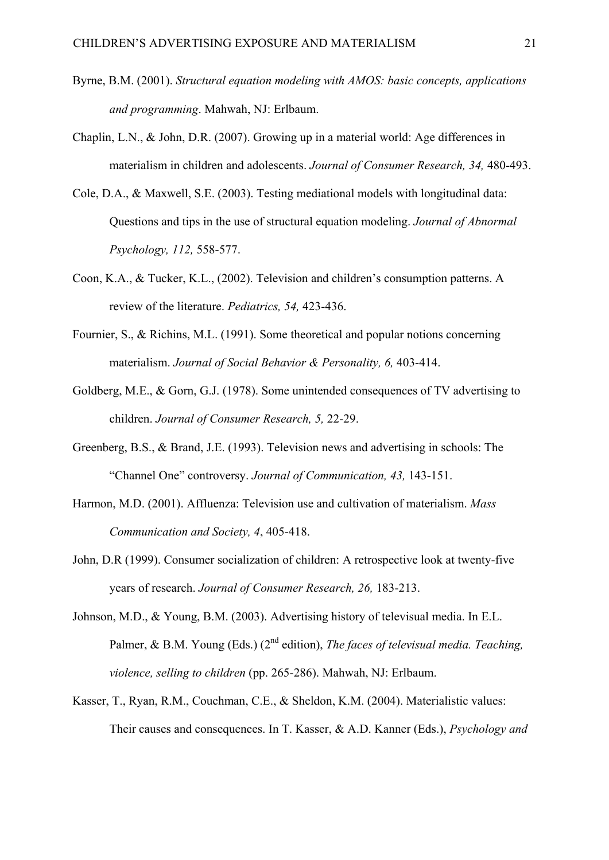- Byrne, B.M. (2001). *Structural equation modeling with AMOS: basic concepts, applications and programming*. Mahwah, NJ: Erlbaum.
- Chaplin, L.N., & John, D.R. (2007). Growing up in a material world: Age differences in materialism in children and adolescents. *Journal of Consumer Research, 34,* 480-493.
- Cole, D.A., & Maxwell, S.E. (2003). Testing mediational models with longitudinal data: Questions and tips in the use of structural equation modeling. *Journal of Abnormal Psychology, 112,* 558-577.
- Coon, K.A., & Tucker, K.L., (2002). Television and children's consumption patterns. A review of the literature. *Pediatrics, 54,* 423-436.
- Fournier, S., & Richins, M.L. (1991). Some theoretical and popular notions concerning materialism. *Journal of Social Behavior & Personality, 6,* 403-414.
- Goldberg, M.E., & Gorn, G.J. (1978). Some unintended consequences of TV advertising to children. *Journal of Consumer Research, 5,* 22-29.
- Greenberg, B.S., & Brand, J.E. (1993). Television news and advertising in schools: The "Channel One" controversy. *Journal of Communication, 43,* 143-151.
- Harmon, M.D. (2001). Affluenza: Television use and cultivation of materialism. *Mass Communication and Society, 4*, 405-418.
- John, D.R (1999). Consumer socialization of children: A retrospective look at twenty-five years of research. *Journal of Consumer Research, 26,* 183-213.
- Johnson, M.D., & Young, B.M. (2003). Advertising history of televisual media. In E.L. Palmer, & B.M. Young (Eds.) (2<sup>nd</sup> edition), *The faces of televisual media. Teaching*, *violence, selling to children* (pp. 265-286). Mahwah, NJ: Erlbaum.
- Kasser, T., Ryan, R.M., Couchman, C.E., & Sheldon, K.M. (2004). Materialistic values: Their causes and consequences. In T. Kasser, & A.D. Kanner (Eds.), *Psychology and*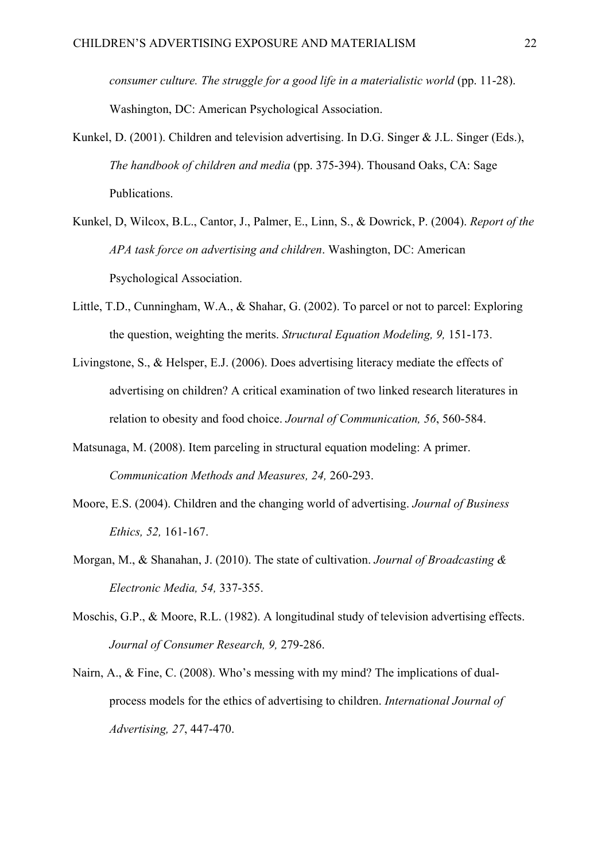*consumer culture. The struggle for a good life in a materialistic world* (pp. 11-28). Washington, DC: American Psychological Association.

- Kunkel, D. (2001). Children and television advertising. In D.G. Singer & J.L. Singer (Eds.), *The handbook of children and media* (pp. 375-394). Thousand Oaks, CA: Sage Publications.
- Kunkel, D, Wilcox, B.L., Cantor, J., Palmer, E., Linn, S., & Dowrick, P. (2004). *Report of the APA task force on advertising and children*. Washington, DC: American Psychological Association.
- Little, T.D., Cunningham, W.A., & Shahar, G. (2002). To parcel or not to parcel: Exploring the question, weighting the merits. *Structural Equation Modeling, 9,* 151-173.
- Livingstone, S., & Helsper, E.J. (2006). Does advertising literacy mediate the effects of advertising on children? A critical examination of two linked research literatures in relation to obesity and food choice. *Journal of Communication, 56*, 560-584.
- Matsunaga, M. (2008). Item parceling in structural equation modeling: A primer. *Communication Methods and Measures, 24,* 260-293.
- Moore, E.S. (2004). Children and the changing world of advertising. *Journal of Business Ethics, 52,* 161-167.
- Morgan, M., & Shanahan, J. (2010). The state of cultivation. *Journal of Broadcasting & Electronic Media, 54,* 337-355.
- Moschis, G.P., & Moore, R.L. (1982). A longitudinal study of television advertising effects. *Journal of Consumer Research, 9,* 279-286.
- Nairn, A., & Fine, C. (2008). Who's messing with my mind? The implications of dualprocess models for the ethics of advertising to children. *International Journal of Advertising, 27*, 447-470.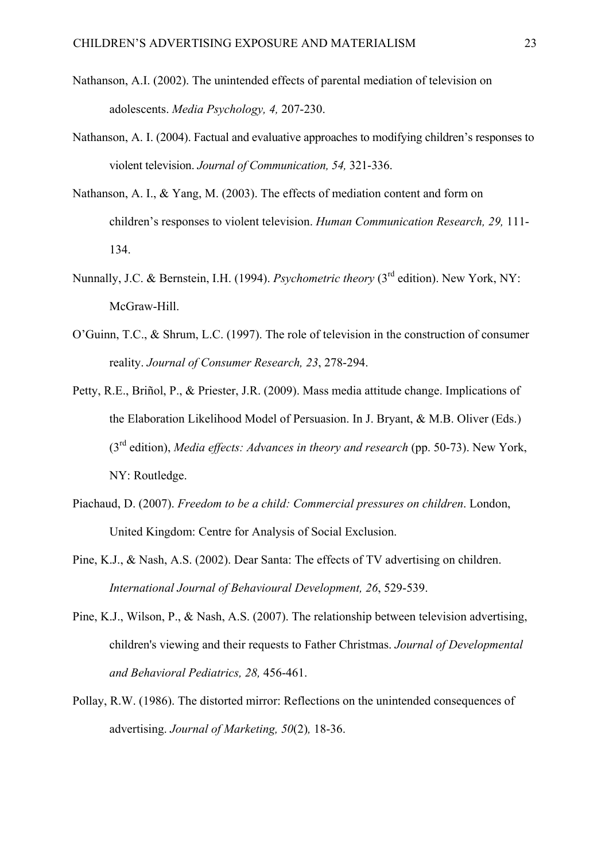- Nathanson, A.I. (2002). The unintended effects of parental mediation of television on adolescents. *Media Psychology, 4,* 207-230.
- Nathanson, A. I. (2004). Factual and evaluative approaches to modifying children's responses to violent television. *Journal of Communication, 54,* 321-336.
- Nathanson, A. I., & Yang, M. (2003). The effects of mediation content and form on children's responses to violent television. *Human Communication Research, 29,* 111- 134.
- Nunnally, J.C. & Bernstein, I.H. (1994). *Psychometric theory* (3<sup>rd</sup> edition). New York, NY: McGraw-Hill.
- O'Guinn, T.C., & Shrum, L.C. (1997). The role of television in the construction of consumer reality. *Journal of Consumer Research, 23*, 278-294.
- Petty, R.E., Briñol, P., & Priester, J.R. (2009). Mass media attitude change. Implications of the Elaboration Likelihood Model of Persuasion. In J. Bryant, & M.B. Oliver (Eds.) (3rd edition), *Media effects: Advances in theory and research* (pp. 50-73). New York, NY: Routledge.
- Piachaud, D. (2007). *Freedom to be a child: Commercial pressures on children*. London, United Kingdom: Centre for Analysis of Social Exclusion.
- Pine, K.J., & Nash, A.S. (2002). Dear Santa: The effects of TV advertising on children. *International Journal of Behavioural Development, 26*, 529-539.
- Pine, K.J., Wilson, P., & Nash, A.S. (2007). The relationship between television advertising, children's viewing and their requests to Father Christmas. *Journal of Developmental and Behavioral Pediatrics, 28,* 456-461.
- Pollay, R.W. (1986). The distorted mirror: Reflections on the unintended consequences of advertising. *Journal of Marketing, 50*(2)*,* 18-36.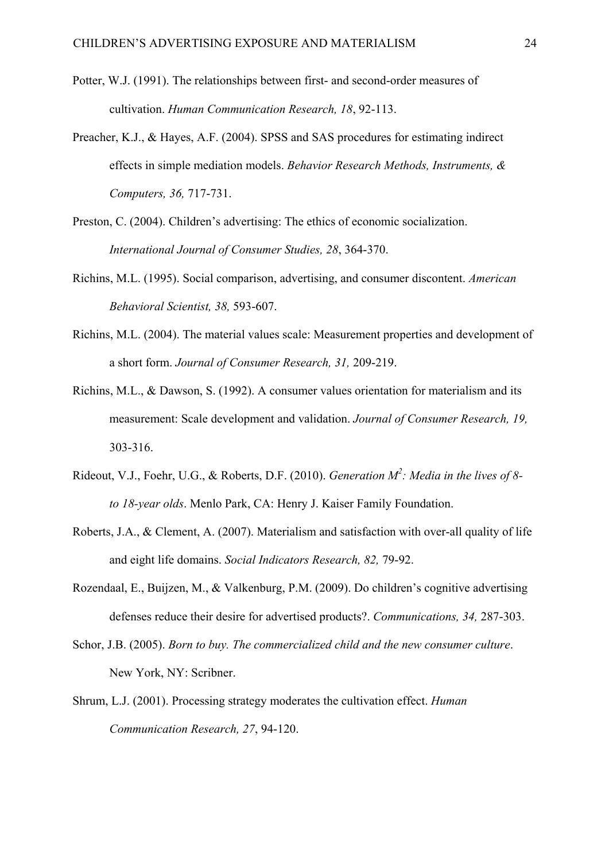- Potter, W.J. (1991). The relationships between first- and second-order measures of cultivation. *Human Communication Research, 18*, 92-113.
- Preacher, K.J., & Hayes, A.F. (2004). SPSS and SAS procedures for estimating indirect effects in simple mediation models. *Behavior Research Methods, Instruments, & Computers, 36,* 717-731.
- Preston, C. (2004). Children's advertising: The ethics of economic socialization. *International Journal of Consumer Studies, 28*, 364-370.
- Richins, M.L. (1995). Social comparison, advertising, and consumer discontent. *American Behavioral Scientist, 38,* 593-607.
- Richins, M.L. (2004). The material values scale: Measurement properties and development of a short form. *Journal of Consumer Research, 31,* 209-219.
- Richins, M.L., & Dawson, S. (1992). A consumer values orientation for materialism and its measurement: Scale development and validation. *Journal of Consumer Research, 19,* 303-316.
- Rideout, V.J., Foehr, U.G., & Roberts, D.F. (2010). *Generation M<sup>2</sup> : Media in the lives of 8 to 18-year olds*. Menlo Park, CA: Henry J. Kaiser Family Foundation.
- Roberts, J.A., & Clement, A. (2007). Materialism and satisfaction with over-all quality of life and eight life domains. *Social Indicators Research, 82,* 79-92.
- Rozendaal, E., Buijzen, M., & Valkenburg, P.M. (2009). Do children's cognitive advertising defenses reduce their desire for advertised products?. *Communications, 34,* 287-303.
- Schor, J.B. (2005). *Born to buy. The commercialized child and the new consumer culture*. New York, NY: Scribner.
- Shrum, L.J. (2001). Processing strategy moderates the cultivation effect. *Human Communication Research, 27*, 94-120.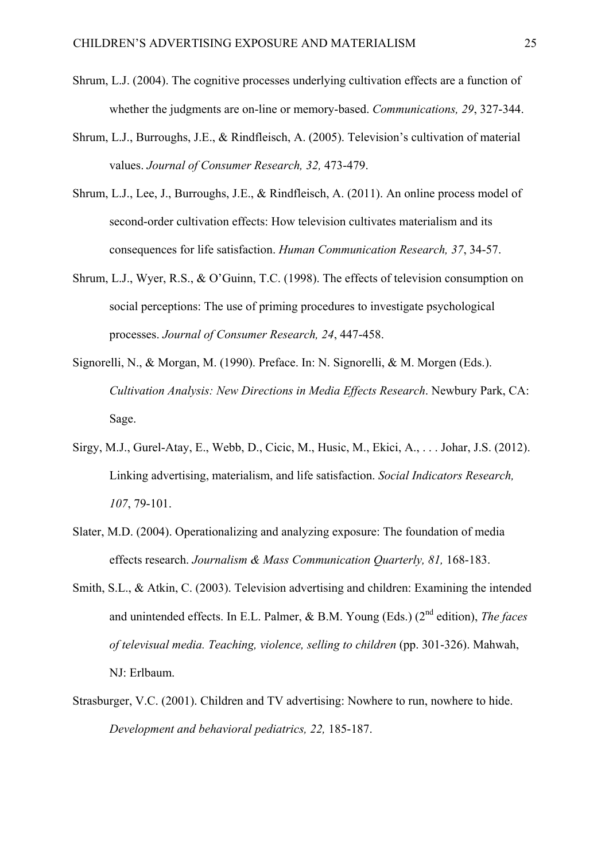- Shrum, L.J. (2004). The cognitive processes underlying cultivation effects are a function of whether the judgments are on-line or memory-based. *Communications, 29*, 327-344.
- Shrum, L.J., Burroughs, J.E., & Rindfleisch, A. (2005). Television's cultivation of material values. *Journal of Consumer Research, 32,* 473-479.
- Shrum, L.J., Lee, J., Burroughs, J.E., & Rindfleisch, A. (2011). An online process model of second-order cultivation effects: How television cultivates materialism and its consequences for life satisfaction. *Human Communication Research, 37*, 34-57.
- Shrum, L.J., Wyer, R.S., & O'Guinn, T.C. (1998). The effects of television consumption on social perceptions: The use of priming procedures to investigate psychological processes. *Journal of Consumer Research, 24*, 447-458.
- Signorelli, N., & Morgan, M. (1990). Preface. In: N. Signorelli, & M. Morgen (Eds.). *Cultivation Analysis: New Directions in Media Effects Research*. Newbury Park, CA: Sage.
- Sirgy, M.J., Gurel-Atay, E., Webb, D., Cicic, M., Husic, M., Ekici, A., . . . Johar, J.S. (2012). Linking advertising, materialism, and life satisfaction. *Social Indicators Research, 107*, 79-101.
- Slater, M.D. (2004). Operationalizing and analyzing exposure: The foundation of media effects research. *Journalism & Mass Communication Quarterly, 81,* 168-183.
- Smith, S.L., & Atkin, C. (2003). Television advertising and children: Examining the intended and unintended effects. In E.L. Palmer, & B.M. Young (Eds.) (2nd edition), *The faces of televisual media. Teaching, violence, selling to children* (pp. 301-326). Mahwah, NJ: Erlbaum.
- Strasburger, V.C. (2001). Children and TV advertising: Nowhere to run, nowhere to hide. *Development and behavioral pediatrics, 22,* 185-187.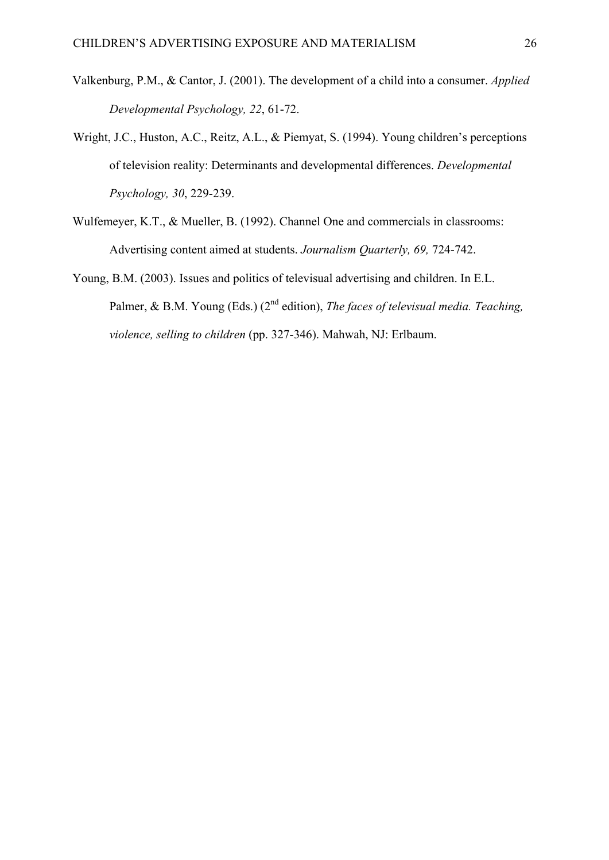- Valkenburg, P.M., & Cantor, J. (2001). The development of a child into a consumer. *Applied Developmental Psychology, 22*, 61-72.
- Wright, J.C., Huston, A.C., Reitz, A.L., & Piemyat, S. (1994). Young children's perceptions of television reality: Determinants and developmental differences. *Developmental Psychology, 30*, 229-239.
- Wulfemeyer, K.T., & Mueller, B. (1992). Channel One and commercials in classrooms: Advertising content aimed at students. *Journalism Quarterly, 69,* 724-742.
- Young, B.M. (2003). Issues and politics of televisual advertising and children. In E.L. Palmer, & B.M. Young (Eds.) (2<sup>nd</sup> edition), *The faces of televisual media. Teaching*, *violence, selling to children* (pp. 327-346). Mahwah, NJ: Erlbaum.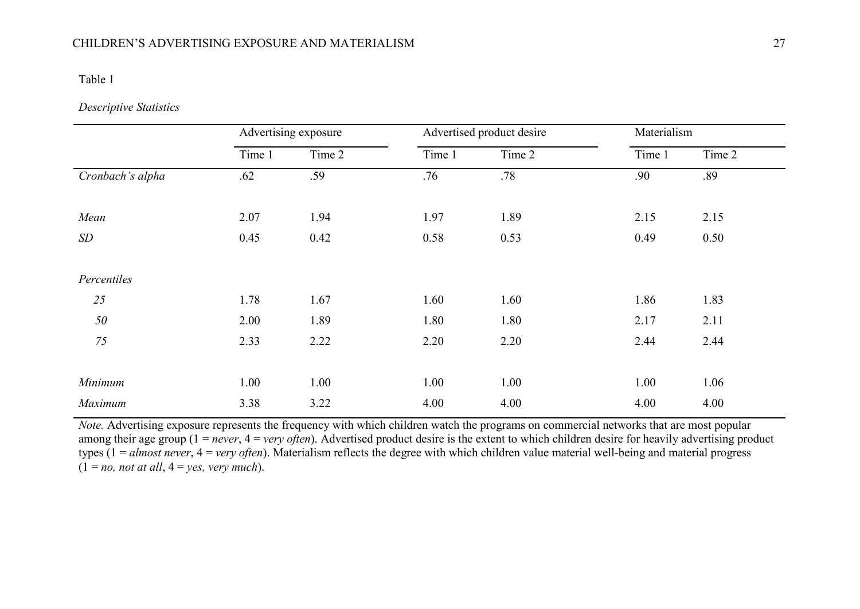#### Table 1

## *Descriptive Statistics*

|                  | Advertising exposure |        | Advertised product desire |        | Materialism |        |
|------------------|----------------------|--------|---------------------------|--------|-------------|--------|
|                  | Time 1               | Time 2 | Time 1                    | Time 2 | Time 1      | Time 2 |
| Cronbach's alpha | .62                  | .59    | .76                       | .78    | .90         | .89    |
|                  |                      |        |                           |        |             |        |
| Mean             | 2.07                 | 1.94   | 1.97                      | 1.89   | 2.15        | 2.15   |
| SD               | 0.45                 | 0.42   | 0.58                      | 0.53   | 0.49        | 0.50   |
|                  |                      |        |                           |        |             |        |
| Percentiles      |                      |        |                           |        |             |        |
| 25               | 1.78                 | 1.67   | 1.60                      | 1.60   | 1.86        | 1.83   |
| 50               | 2.00                 | 1.89   | 1.80                      | 1.80   | 2.17        | 2.11   |
| 75               | 2.33                 | 2.22   | 2.20                      | 2.20   | 2.44        | 2.44   |
|                  |                      |        |                           |        |             |        |
| Minimum          | 1.00                 | 1.00   | 1.00                      | 1.00   | 1.00        | 1.06   |
| Maximum          | 3.38                 | 3.22   | 4.00                      | 4.00   | 4.00        | 4.00   |

*Note.* Advertising exposure represents the frequency with which children watch the programs on commercial networks that are most popular among their age group (1 = *never*, 4 = *very often*). Advertised product desire is the extent to which children desire for heavily advertising product types (1 = *almost never*, 4 = *very often*). Materialism reflects the degree with which children value material well-being and material progress  $(1 = no, not at all, 4 = yes, very much).$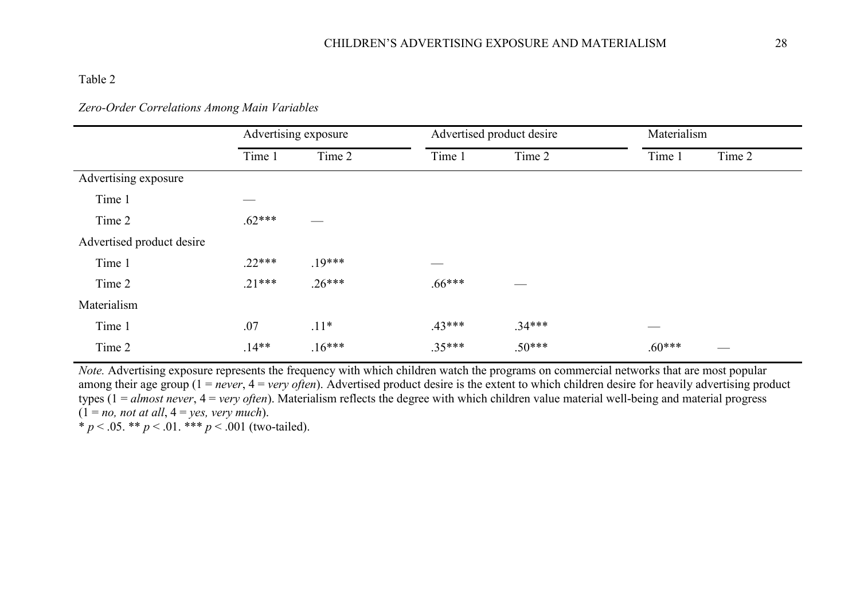# Table 2

# *Zero-Order Correlations Among Main Variables*

|                           | Advertising exposure |          | Advertised product desire |          | Materialism |        |
|---------------------------|----------------------|----------|---------------------------|----------|-------------|--------|
|                           | Time 1               | Time 2   | Time 1                    | Time 2   | Time 1      | Time 2 |
| Advertising exposure      |                      |          |                           |          |             |        |
| Time 1                    |                      |          |                           |          |             |        |
| Time 2                    | $.62***$             |          |                           |          |             |        |
| Advertised product desire |                      |          |                           |          |             |        |
| Time 1                    | $.22***$             | $19***$  |                           |          |             |        |
| Time 2                    | $.21***$             | $.26***$ | $.66***$                  |          |             |        |
| Materialism               |                      |          |                           |          |             |        |
| Time 1                    | .07                  | $.11*$   | $.43***$                  | $.34***$ |             |        |
| Time 2                    | $.14**$              | $.16***$ | $.35***$                  | $.50***$ | $.60***$    |        |

*Note.* Advertising exposure represents the frequency with which children watch the programs on commercial networks that are most popular among their age group (1 = *never*, 4 = *very often*). Advertised product desire is the extent to which children desire for heavily advertising product types (1 = *almost never*, 4 = *very often*). Materialism reflects the degree with which children value material well-being and material progress  $(1 = no, not at all, 4 = yes, very much).$ 

\* *p* < .05. \*\* *p* < .01. \*\*\* *p* < .001 (two-tailed).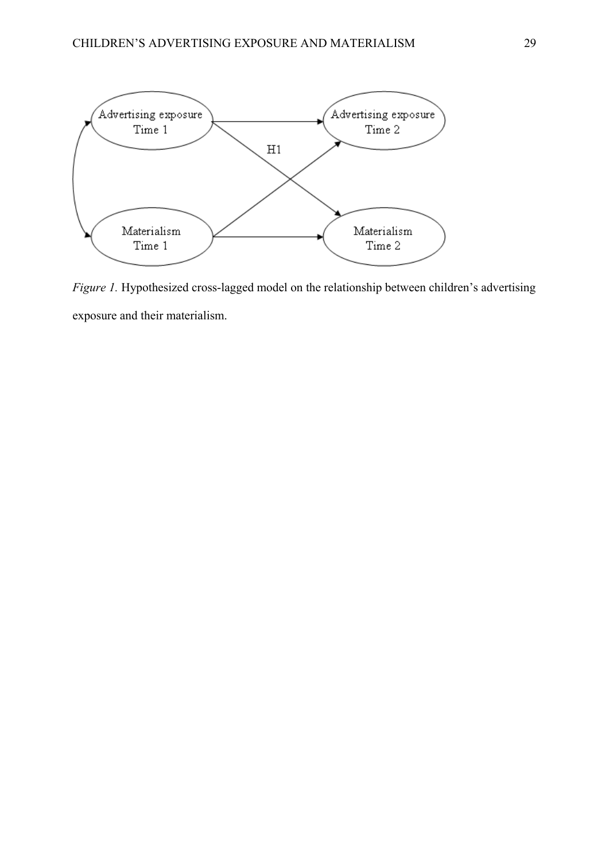

*Figure 1.* Hypothesized cross-lagged model on the relationship between children's advertising exposure and their materialism.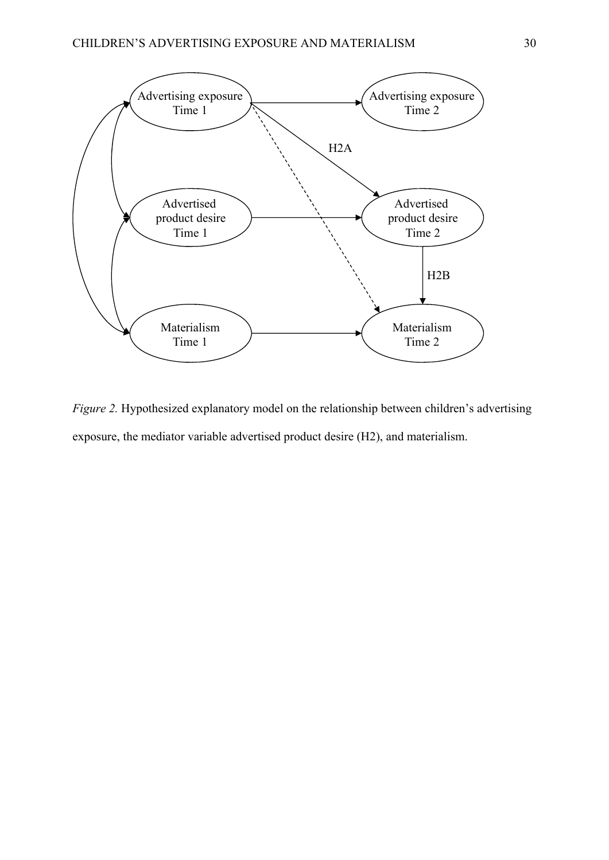

*Figure 2.* Hypothesized explanatory model on the relationship between children's advertising exposure, the mediator variable advertised product desire (H2), and materialism.